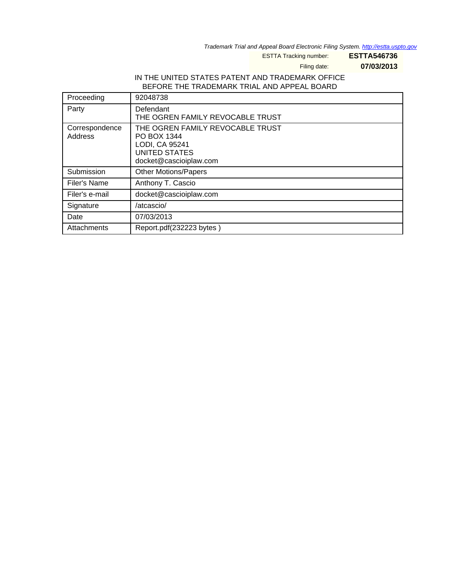Trademark Trial and Appeal Board Electronic Filing System. http://estta.uspto.gov

ESTTA Tracking number: **ESTTA546736**

Filing date: **07/03/2013**

## IN THE UNITED STATES PATENT AND TRADEMARK OFFICE BEFORE THE TRADEMARK TRIAL AND APPEAL BOARD

| Proceeding                | 92048738                                                                                                            |
|---------------------------|---------------------------------------------------------------------------------------------------------------------|
| Party                     | Defendant<br>THE OGREN FAMILY REVOCABLE TRUST                                                                       |
| Correspondence<br>Address | THE OGREN FAMILY REVOCABLE TRUST<br>PO BOX 1344<br>LODI, CA 95241<br><b>UNITED STATES</b><br>docket@cascioiplaw.com |
| Submission                | <b>Other Motions/Papers</b>                                                                                         |
| Filer's Name              | Anthony T. Cascio                                                                                                   |
| Filer's e-mail            | docket@cascioiplaw.com                                                                                              |
| Signature                 | /atcascio/                                                                                                          |
| Date                      | 07/03/2013                                                                                                          |
| Attachments               | Report.pdf(232223 bytes)                                                                                            |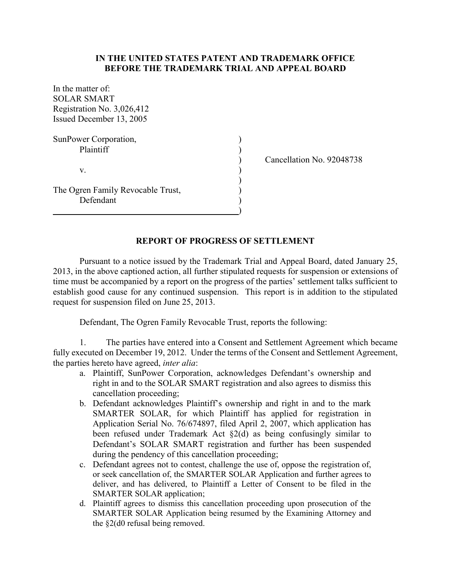## **IN THE UNITED STATES PATENT AND TRADEMARK OFFICE BEFORE THE TRADEMARK TRIAL AND APPEAL BOARD**

| In the matter of:                 |  |
|-----------------------------------|--|
| <b>SOLAR SMART</b>                |  |
| Registration No. 3,026,412        |  |
| Issued December 13, 2005          |  |
| SunPower Corporation,             |  |
| Plaintiff                         |  |
|                                   |  |
| V.                                |  |
| The Ogren Family Revocable Trust, |  |
| Defendant                         |  |

) Cancellation No. 92048738

## **REPORT OF PROGRESS OF SETTLEMENT**

)

Pursuant to a notice issued by the Trademark Trial and Appeal Board, dated January 25, 2013, in the above captioned action, all further stipulated requests for suspension or extensions of time must be accompanied by a report on the progress of the parties' settlement talks sufficient to establish good cause for any continued suspension. This report is in addition to the stipulated request for suspension filed on June 25, 2013.

Defendant, The Ogren Family Revocable Trust, reports the following:

1. The parties have entered into a Consent and Settlement Agreement which became fully executed on December 19, 2012. Under the terms of the Consent and Settlement Agreement, the parties hereto have agreed, *inter alia*:

- a. Plaintiff, SunPower Corporation, acknowledges Defendant's ownership and right in and to the SOLAR SMART registration and also agrees to dismiss this cancellation proceeding;
- b. Defendant acknowledges Plaintiff's ownership and right in and to the mark SMARTER SOLAR, for which Plaintiff has applied for registration in Application Serial No. 76/674897, filed April 2, 2007, which application has been refused under Trademark Act §2(d) as being confusingly similar to Defendant's SOLAR SMART registration and further has been suspended during the pendency of this cancellation proceeding;
- c. Defendant agrees not to contest, challenge the use of, oppose the registration of, or seek cancellation of, the SMARTER SOLAR Application and further agrees to deliver, and has delivered, to Plaintiff a Letter of Consent to be filed in the SMARTER SOLAR application;
- d. Plaintiff agrees to dismiss this cancellation proceeding upon prosecution of the SMARTER SOLAR Application being resumed by the Examining Attorney and the §2(d0 refusal being removed.